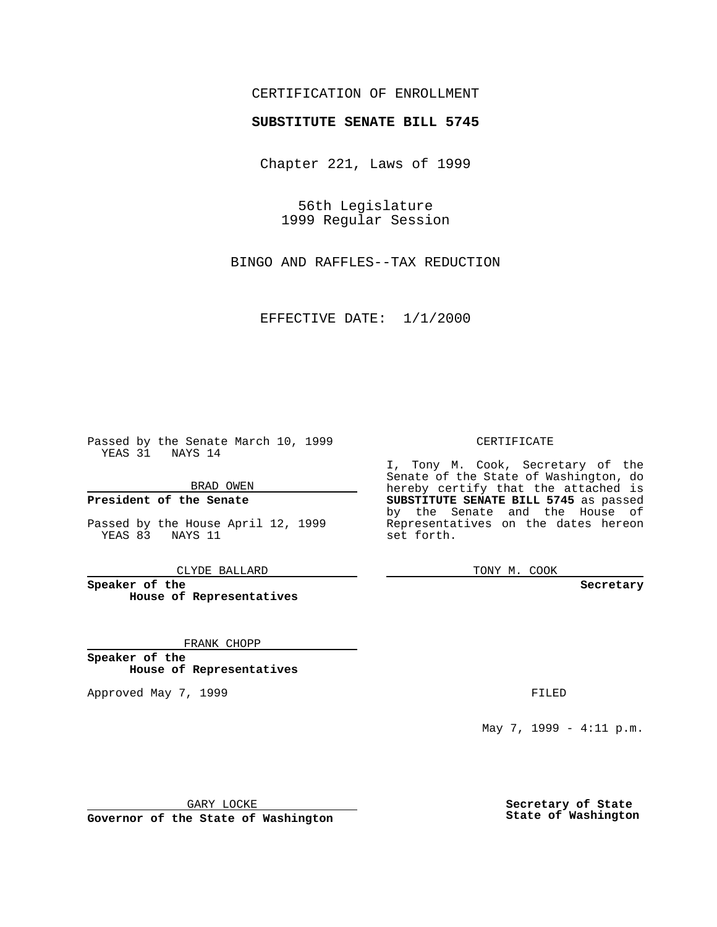### CERTIFICATION OF ENROLLMENT

# **SUBSTITUTE SENATE BILL 5745**

Chapter 221, Laws of 1999

56th Legislature 1999 Regular Session

BINGO AND RAFFLES--TAX REDUCTION

EFFECTIVE DATE: 1/1/2000

Passed by the Senate March 10, 1999 YEAS 31 NAYS 14

BRAD OWEN

**President of the Senate**

Passed by the House April 12, 1999 YEAS 83 NAYS 11

CLYDE BALLARD

**Speaker of the House of Representatives**

FRANK CHOPP

**Speaker of the House of Representatives**

Approved May 7, 1999 **FILED** 

#### CERTIFICATE

I, Tony M. Cook, Secretary of the Senate of the State of Washington, do hereby certify that the attached is **SUBSTITUTE SENATE BILL 5745** as passed by the Senate and the House of Representatives on the dates hereon set forth.

TONY M. COOK

**Secretary**

May 7, 1999 - 4:11 p.m.

GARY LOCKE

**Governor of the State of Washington**

**Secretary of State State of Washington**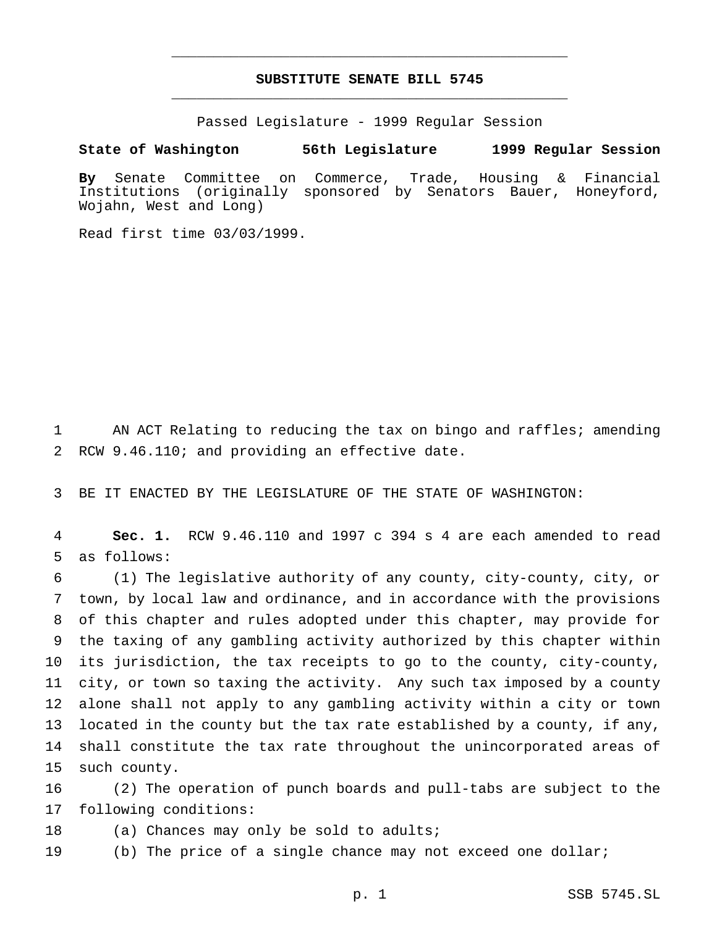## **SUBSTITUTE SENATE BILL 5745** \_\_\_\_\_\_\_\_\_\_\_\_\_\_\_\_\_\_\_\_\_\_\_\_\_\_\_\_\_\_\_\_\_\_\_\_\_\_\_\_\_\_\_\_\_\_\_

\_\_\_\_\_\_\_\_\_\_\_\_\_\_\_\_\_\_\_\_\_\_\_\_\_\_\_\_\_\_\_\_\_\_\_\_\_\_\_\_\_\_\_\_\_\_\_

Passed Legislature - 1999 Regular Session

### **State of Washington 56th Legislature 1999 Regular Session**

**By** Senate Committee on Commerce, Trade, Housing & Financial Institutions (originally sponsored by Senators Bauer, Honeyford, Wojahn, West and Long)

Read first time 03/03/1999.

1 AN ACT Relating to reducing the tax on bingo and raffles; amending 2 RCW 9.46.110; and providing an effective date.

3 BE IT ENACTED BY THE LEGISLATURE OF THE STATE OF WASHINGTON:

4 **Sec. 1.** RCW 9.46.110 and 1997 c 394 s 4 are each amended to read 5 as follows:

 (1) The legislative authority of any county, city-county, city, or town, by local law and ordinance, and in accordance with the provisions of this chapter and rules adopted under this chapter, may provide for the taxing of any gambling activity authorized by this chapter within its jurisdiction, the tax receipts to go to the county, city-county, city, or town so taxing the activity. Any such tax imposed by a county alone shall not apply to any gambling activity within a city or town located in the county but the tax rate established by a county, if any, shall constitute the tax rate throughout the unincorporated areas of such county.

16 (2) The operation of punch boards and pull-tabs are subject to the 17 following conditions:

18 (a) Chances may only be sold to adults;

19 (b) The price of a single chance may not exceed one dollar;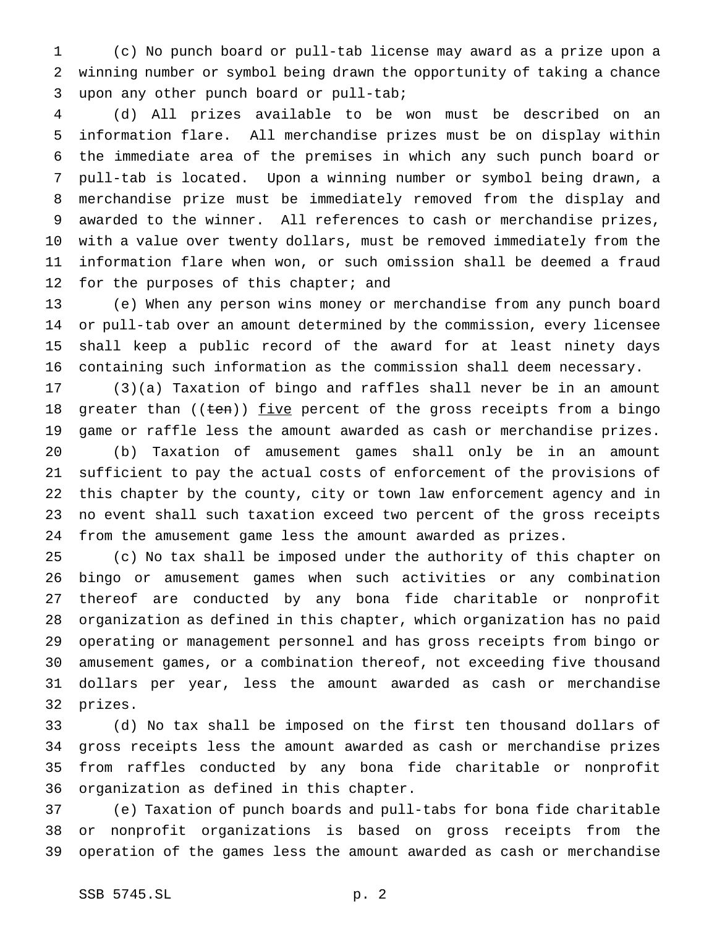(c) No punch board or pull-tab license may award as a prize upon a winning number or symbol being drawn the opportunity of taking a chance upon any other punch board or pull-tab;

 (d) All prizes available to be won must be described on an information flare. All merchandise prizes must be on display within the immediate area of the premises in which any such punch board or pull-tab is located. Upon a winning number or symbol being drawn, a merchandise prize must be immediately removed from the display and awarded to the winner. All references to cash or merchandise prizes, with a value over twenty dollars, must be removed immediately from the information flare when won, or such omission shall be deemed a fraud 12 for the purposes of this chapter; and

 (e) When any person wins money or merchandise from any punch board or pull-tab over an amount determined by the commission, every licensee shall keep a public record of the award for at least ninety days containing such information as the commission shall deem necessary.

 (3)(a) Taxation of bingo and raffles shall never be in an amount 18 greater than  $((ten))$  five percent of the gross receipts from a bingo game or raffle less the amount awarded as cash or merchandise prizes. (b) Taxation of amusement games shall only be in an amount sufficient to pay the actual costs of enforcement of the provisions of this chapter by the county, city or town law enforcement agency and in no event shall such taxation exceed two percent of the gross receipts from the amusement game less the amount awarded as prizes.

 (c) No tax shall be imposed under the authority of this chapter on bingo or amusement games when such activities or any combination thereof are conducted by any bona fide charitable or nonprofit organization as defined in this chapter, which organization has no paid operating or management personnel and has gross receipts from bingo or amusement games, or a combination thereof, not exceeding five thousand dollars per year, less the amount awarded as cash or merchandise prizes.

 (d) No tax shall be imposed on the first ten thousand dollars of gross receipts less the amount awarded as cash or merchandise prizes from raffles conducted by any bona fide charitable or nonprofit organization as defined in this chapter.

 (e) Taxation of punch boards and pull-tabs for bona fide charitable or nonprofit organizations is based on gross receipts from the operation of the games less the amount awarded as cash or merchandise